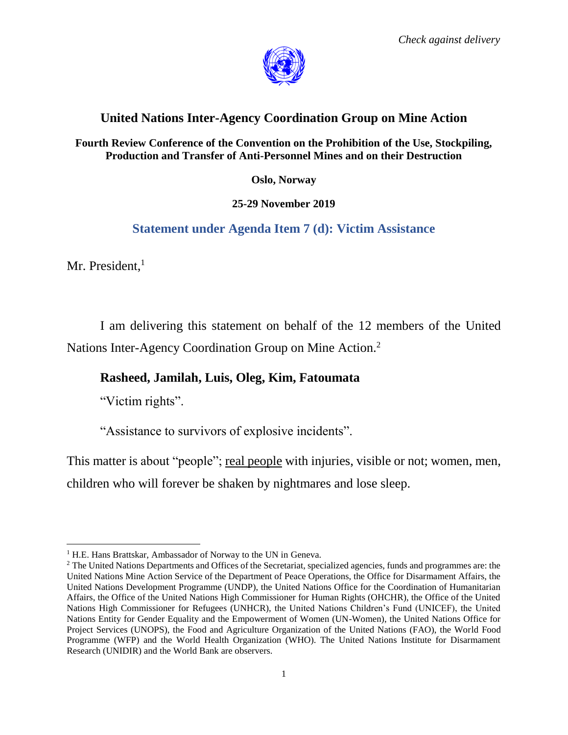

## **United Nations Inter-Agency Coordination Group on Mine Action**

**Fourth Review Conference of the Convention on the Prohibition of the Use, Stockpiling, Production and Transfer of Anti-Personnel Mines and on their Destruction**

**Oslo, Norway**

**25-29 November 2019**

## **Statement under Agenda Item 7 (d): Victim Assistance**

Mr. President. $<sup>1</sup>$ </sup>

 $\overline{\phantom{a}}$ 

I am delivering this statement on behalf of the 12 members of the United Nations Inter-Agency Coordination Group on Mine Action.<sup>2</sup>

## **Rasheed, Jamilah, Luis, Oleg, Kim, Fatoumata**

"Victim rights".

"Assistance to survivors of explosive incidents".

This matter is about "people"; real people with injuries, visible or not; women, men,

children who will forever be shaken by nightmares and lose sleep.

<sup>&</sup>lt;sup>1</sup> H.E. Hans Brattskar, Ambassador of Norway to the UN in Geneva.

<sup>&</sup>lt;sup>2</sup> The United Nations Departments and Offices of the Secretariat, specialized agencies, funds and programmes are: the United Nations Mine Action Service of the Department of Peace Operations, the Office for Disarmament Affairs, the United Nations Development Programme (UNDP), the United Nations Office for the Coordination of Humanitarian Affairs, the Office of the United Nations High Commissioner for Human Rights (OHCHR), the Office of the United Nations High Commissioner for Refugees (UNHCR), the United Nations Children's Fund (UNICEF), the United Nations Entity for Gender Equality and the Empowerment of Women (UN-Women), the United Nations Office for Project Services (UNOPS), the Food and Agriculture Organization of the United Nations (FAO), the World Food Programme (WFP) and the World Health Organization (WHO). The United Nations Institute for Disarmament Research (UNIDIR) and the World Bank are observers.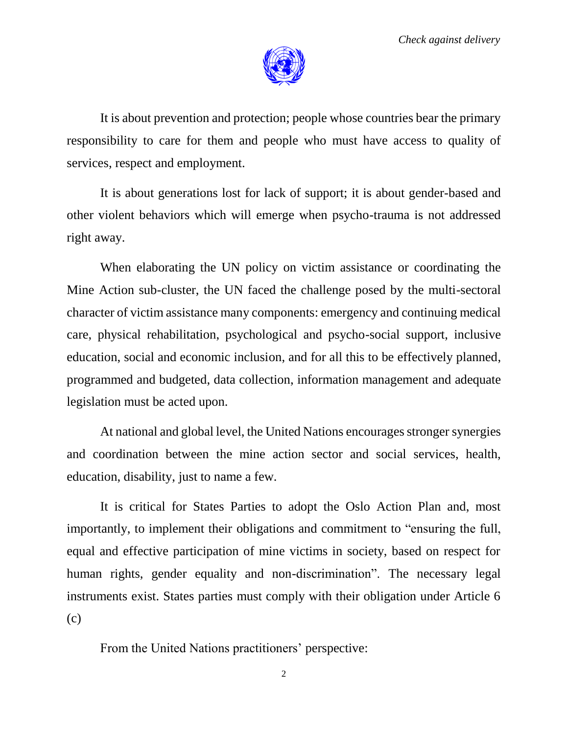

It is about prevention and protection; people whose countries bear the primary responsibility to care for them and people who must have access to quality of services, respect and employment.

It is about generations lost for lack of support; it is about gender-based and other violent behaviors which will emerge when psycho-trauma is not addressed right away.

When elaborating the UN policy on victim assistance or coordinating the Mine Action sub-cluster, the UN faced the challenge posed by the multi-sectoral character of victim assistance many components: emergency and continuing medical care, physical rehabilitation, psychological and psycho-social support, inclusive education, social and economic inclusion, and for all this to be effectively planned, programmed and budgeted, data collection, information management and adequate legislation must be acted upon.

At national and global level, the United Nations encourages stronger synergies and coordination between the mine action sector and social services, health, education, disability, just to name a few.

It is critical for States Parties to adopt the Oslo Action Plan and, most importantly, to implement their obligations and commitment to "ensuring the full, equal and effective participation of mine victims in society, based on respect for human rights, gender equality and non-discrimination". The necessary legal instruments exist. States parties must comply with their obligation under Article 6 (c)

From the United Nations practitioners' perspective: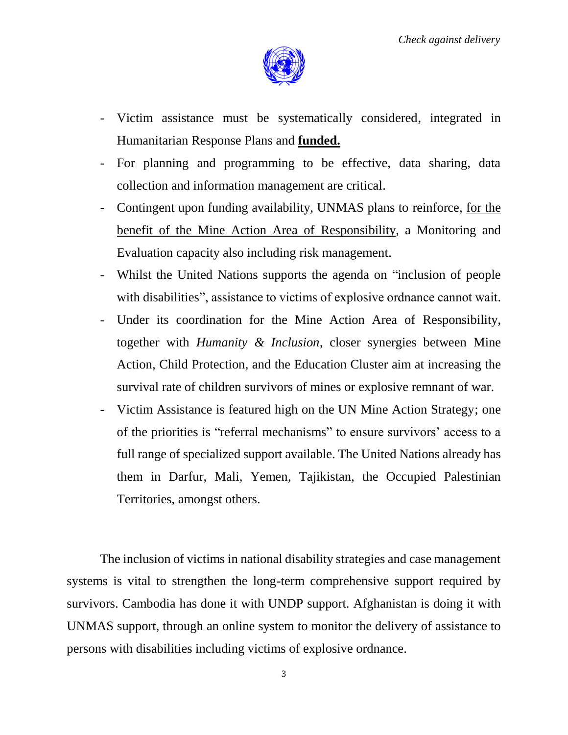

- Victim assistance must be systematically considered, integrated in Humanitarian Response Plans and **funded.**
- For planning and programming to be effective, data sharing, data collection and information management are critical.
- Contingent upon funding availability, UNMAS plans to reinforce, for the benefit of the Mine Action Area of Responsibility, a Monitoring and Evaluation capacity also including risk management.
- Whilst the United Nations supports the agenda on "inclusion of people with disabilities", assistance to victims of explosive ordnance cannot wait.
- Under its coordination for the Mine Action Area of Responsibility, together with *Humanity & Inclusion,* closer synergies between Mine Action, Child Protection, and the Education Cluster aim at increasing the survival rate of children survivors of mines or explosive remnant of war.
- Victim Assistance is featured high on the UN Mine Action Strategy; one of the priorities is "referral mechanisms" to ensure survivors' access to a full range of specialized support available. The United Nations already has them in Darfur, Mali, Yemen, Tajikistan, the Occupied Palestinian Territories, amongst others.

The inclusion of victims in national disability strategies and case management systems is vital to strengthen the long-term comprehensive support required by survivors. Cambodia has done it with UNDP support. Afghanistan is doing it with UNMAS support, through an online system to monitor the delivery of assistance to persons with disabilities including victims of explosive ordnance.